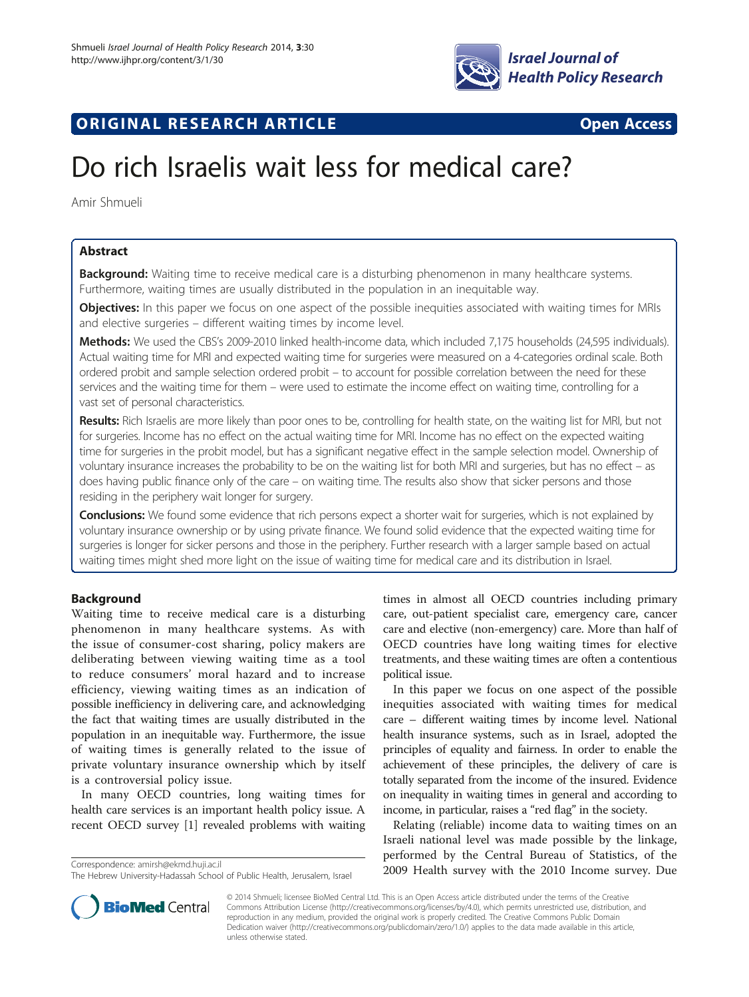

# **ORIGINAL RESEARCH ARTICLE CONSUMING ACCESS**

# Do rich Israelis wait less for medical care?

Amir Shmueli

# Abstract

Background: Waiting time to receive medical care is a disturbing phenomenon in many healthcare systems. Furthermore, waiting times are usually distributed in the population in an inequitable way.

**Objectives:** In this paper we focus on one aspect of the possible inequities associated with waiting times for MRIs and elective surgeries – different waiting times by income level.

Methods: We used the CBS's 2009-2010 linked health-income data, which included 7,175 households (24,595 individuals). Actual waiting time for MRI and expected waiting time for surgeries were measured on a 4-categories ordinal scale. Both ordered probit and sample selection ordered probit – to account for possible correlation between the need for these services and the waiting time for them – were used to estimate the income effect on waiting time, controlling for a vast set of personal characteristics.

Results: Rich Israelis are more likely than poor ones to be, controlling for health state, on the waiting list for MRI, but not for surgeries. Income has no effect on the actual waiting time for MRI. Income has no effect on the expected waiting time for surgeries in the probit model, but has a significant negative effect in the sample selection model. Ownership of voluntary insurance increases the probability to be on the waiting list for both MRI and surgeries, but has no effect – as does having public finance only of the care – on waiting time. The results also show that sicker persons and those residing in the periphery wait longer for surgery.

Conclusions: We found some evidence that rich persons expect a shorter wait for surgeries, which is not explained by voluntary insurance ownership or by using private finance. We found solid evidence that the expected waiting time for surgeries is longer for sicker persons and those in the periphery. Further research with a larger sample based on actual waiting times might shed more light on the issue of waiting time for medical care and its distribution in Israel.

# Background

Waiting time to receive medical care is a disturbing phenomenon in many healthcare systems. As with the issue of consumer-cost sharing, policy makers are deliberating between viewing waiting time as a tool to reduce consumers' moral hazard and to increase efficiency, viewing waiting times as an indication of possible inefficiency in delivering care, and acknowledging the fact that waiting times are usually distributed in the population in an inequitable way. Furthermore, the issue of waiting times is generally related to the issue of private voluntary insurance ownership which by itself is a controversial policy issue.

In many OECD countries, long waiting times for health care services is an important health policy issue. A recent OECD survey [\[1](#page-6-0)] revealed problems with waiting

times in almost all OECD countries including primary care, out-patient specialist care, emergency care, cancer care and elective (non-emergency) care. More than half of OECD countries have long waiting times for elective treatments, and these waiting times are often a contentious political issue.

In this paper we focus on one aspect of the possible inequities associated with waiting times for medical care – different waiting times by income level. National health insurance systems, such as in Israel, adopted the principles of equality and fairness. In order to enable the achievement of these principles, the delivery of care is totally separated from the income of the insured. Evidence on inequality in waiting times in general and according to income, in particular, raises a "red flag" in the society.

Relating (reliable) income data to waiting times on an Israeli national level was made possible by the linkage, performed by the Central Bureau of Statistics, of the Correspondence: [amirsh@ekmd.huji.ac.il](mailto:amirsh@ekmd.huji.ac.il)<br>The Hebrew University-Hadassah School of Public Health Jerusalem Jsrael 2009 Health survey with the 2010 Income survey. Due



© 2014 Shmueli; licensee BioMed Central Ltd. This is an Open Access article distributed under the terms of the Creative Commons Attribution License [\(http://creativecommons.org/licenses/by/4.0\)](http://creativecommons.org/licenses/by/4.0), which permits unrestricted use, distribution, and reproduction in any medium, provided the original work is properly credited. The Creative Commons Public Domain Dedication waiver [\(http://creativecommons.org/publicdomain/zero/1.0/](http://creativecommons.org/publicdomain/zero/1.0/)) applies to the data made available in this article, unless otherwise stated.

The Hebrew University-Hadassah School of Public Health, Jerusalem, Israel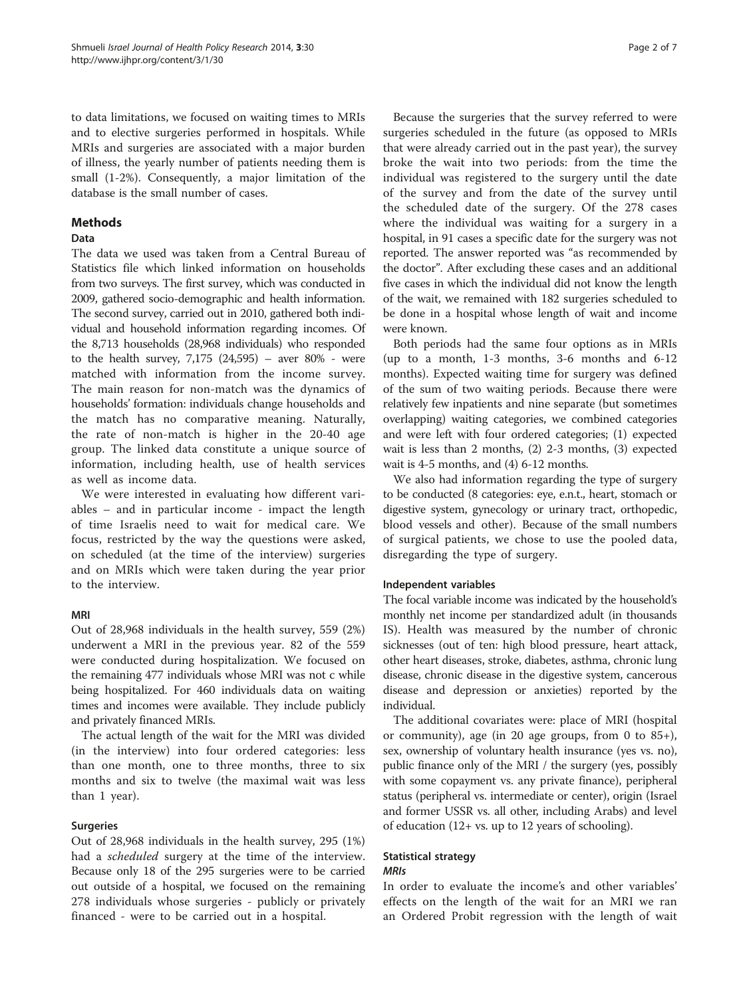to data limitations, we focused on waiting times to MRIs and to elective surgeries performed in hospitals. While MRIs and surgeries are associated with a major burden of illness, the yearly number of patients needing them is small (1-2%). Consequently, a major limitation of the database is the small number of cases.

# **Methods**

# Data

The data we used was taken from a Central Bureau of Statistics file which linked information on households from two surveys. The first survey, which was conducted in 2009, gathered socio-demographic and health information. The second survey, carried out in 2010, gathered both individual and household information regarding incomes. Of the 8,713 households (28,968 individuals) who responded to the health survey, 7,175 (24,595) – aver 80% - were matched with information from the income survey. The main reason for non-match was the dynamics of households' formation: individuals change households and the match has no comparative meaning. Naturally, the rate of non-match is higher in the 20-40 age group. The linked data constitute a unique source of information, including health, use of health services as well as income data.

We were interested in evaluating how different variables – and in particular income - impact the length of time Israelis need to wait for medical care. We focus, restricted by the way the questions were asked, on scheduled (at the time of the interview) surgeries and on MRIs which were taken during the year prior to the interview.

# MRI

Out of 28,968 individuals in the health survey, 559 (2%) underwent a MRI in the previous year. 82 of the 559 were conducted during hospitalization. We focused on the remaining 477 individuals whose MRI was not c while being hospitalized. For 460 individuals data on waiting times and incomes were available. They include publicly and privately financed MRIs.

The actual length of the wait for the MRI was divided (in the interview) into four ordered categories: less than one month, one to three months, three to six months and six to twelve (the maximal wait was less than 1 year).

# Surgeries

Out of 28,968 individuals in the health survey, 295 (1%) had a *scheduled* surgery at the time of the interview. Because only 18 of the 295 surgeries were to be carried out outside of a hospital, we focused on the remaining 278 individuals whose surgeries - publicly or privately financed - were to be carried out in a hospital.

Because the surgeries that the survey referred to were surgeries scheduled in the future (as opposed to MRIs that were already carried out in the past year), the survey broke the wait into two periods: from the time the individual was registered to the surgery until the date of the survey and from the date of the survey until the scheduled date of the surgery. Of the 278 cases where the individual was waiting for a surgery in a hospital, in 91 cases a specific date for the surgery was not reported. The answer reported was "as recommended by the doctor". After excluding these cases and an additional five cases in which the individual did not know the length of the wait, we remained with 182 surgeries scheduled to be done in a hospital whose length of wait and income were known.

Both periods had the same four options as in MRIs (up to a month, 1-3 months, 3-6 months and 6-12 months). Expected waiting time for surgery was defined of the sum of two waiting periods. Because there were relatively few inpatients and nine separate (but sometimes overlapping) waiting categories, we combined categories and were left with four ordered categories; (1) expected wait is less than 2 months, (2) 2-3 months, (3) expected wait is 4-5 months, and (4) 6-12 months.

We also had information regarding the type of surgery to be conducted (8 categories: eye, e.n.t., heart, stomach or digestive system, gynecology or urinary tract, orthopedic, blood vessels and other). Because of the small numbers of surgical patients, we chose to use the pooled data, disregarding the type of surgery.

# Independent variables

The focal variable income was indicated by the household's monthly net income per standardized adult (in thousands IS). Health was measured by the number of chronic sicknesses (out of ten: high blood pressure, heart attack, other heart diseases, stroke, diabetes, asthma, chronic lung disease, chronic disease in the digestive system, cancerous disease and depression or anxieties) reported by the individual.

The additional covariates were: place of MRI (hospital or community), age (in 20 age groups, from 0 to 85+), sex, ownership of voluntary health insurance (yes vs. no), public finance only of the MRI / the surgery (yes, possibly with some copayment vs. any private finance), peripheral status (peripheral vs. intermediate or center), origin (Israel and former USSR vs. all other, including Arabs) and level of education (12+ vs. up to 12 years of schooling).

#### Statistical strategy **MRIs**

In order to evaluate the income's and other variables' effects on the length of the wait for an MRI we ran an Ordered Probit regression with the length of wait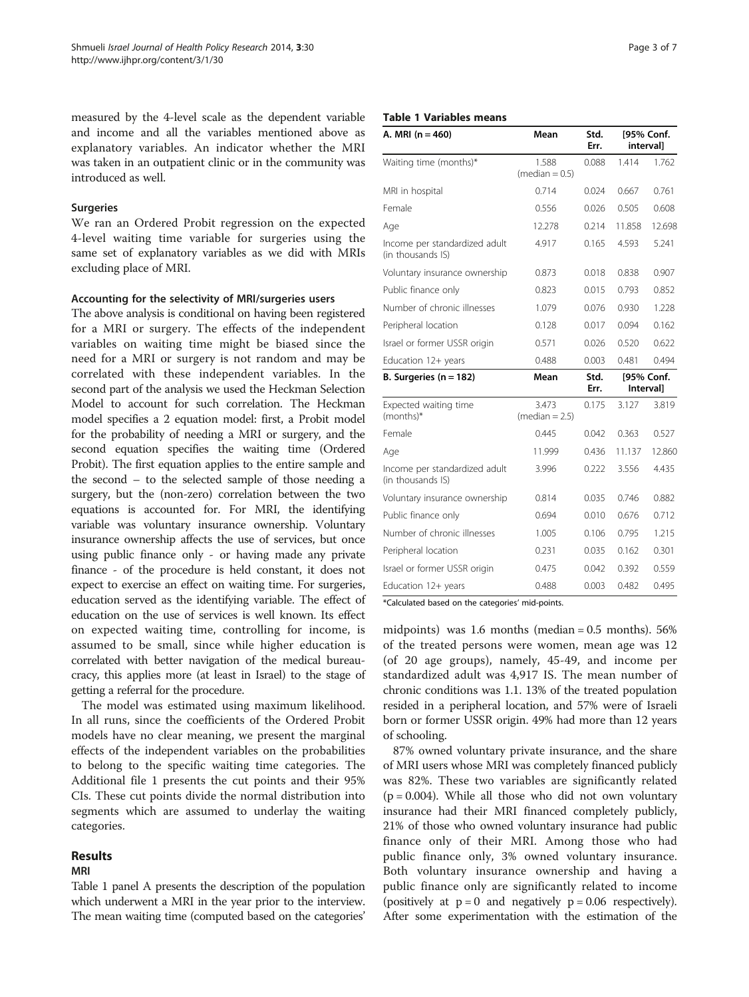<span id="page-2-0"></span>measured by the 4-level scale as the dependent variable and income and all the variables mentioned above as explanatory variables. An indicator whether the MRI was taken in an outpatient clinic or in the community was introduced as well.

#### **Surgeries**

We ran an Ordered Probit regression on the expected 4-level waiting time variable for surgeries using the same set of explanatory variables as we did with MRIs excluding place of MRI.

#### Accounting for the selectivity of MRI/surgeries users

The above analysis is conditional on having been registered for a MRI or surgery. The effects of the independent variables on waiting time might be biased since the need for a MRI or surgery is not random and may be correlated with these independent variables. In the second part of the analysis we used the Heckman Selection Model to account for such correlation. The Heckman model specifies a 2 equation model: first, a Probit model for the probability of needing a MRI or surgery, and the second equation specifies the waiting time (Ordered Probit). The first equation applies to the entire sample and the second – to the selected sample of those needing a surgery, but the (non-zero) correlation between the two equations is accounted for. For MRI, the identifying variable was voluntary insurance ownership. Voluntary insurance ownership affects the use of services, but once using public finance only - or having made any private finance - of the procedure is held constant, it does not expect to exercise an effect on waiting time. For surgeries, education served as the identifying variable. The effect of education on the use of services is well known. Its effect on expected waiting time, controlling for income, is assumed to be small, since while higher education is correlated with better navigation of the medical bureaucracy, this applies more (at least in Israel) to the stage of getting a referral for the procedure.

The model was estimated using maximum likelihood. In all runs, since the coefficients of the Ordered Probit models have no clear meaning, we present the marginal effects of the independent variables on the probabilities to belong to the specific waiting time categories. The Additional file [1](#page-6-0) presents the cut points and their 95% CIs. These cut points divide the normal distribution into segments which are assumed to underlay the waiting categories.

#### Results

#### MRI

Table 1 panel A presents the description of the population which underwent a MRI in the year prior to the interview. The mean waiting time (computed based on the categories'

#### Table 1 Variables means

| A. MRI $(n = 460)$                                 | Mean                      | Std.<br>Err. | [95% Conf.<br>interval] |                                |  |
|----------------------------------------------------|---------------------------|--------------|-------------------------|--------------------------------|--|
| Waiting time (months)*                             | 1.588<br>$(median = 0.5)$ | 0.088        | 1.414                   | 1.762                          |  |
| MRI in hospital                                    | 0.714                     | 0.024        | 0.667                   | 0.761                          |  |
| Female                                             | 0.556                     | 0.026        | 0.505                   | 0.608                          |  |
| Age                                                | 12.278                    | 0.214        | 11.858                  | 12.698                         |  |
| Income per standardized adult<br>(in thousands IS) | 4.917                     | 0.165        | 4.593                   | 5.241                          |  |
| Voluntary insurance ownership                      | 0.873                     | 0.018        | 0.838                   | 0.907                          |  |
| Public finance only                                | 0.823                     | 0.015        | 0.793                   | 0.852                          |  |
| Number of chronic illnesses                        | 1.079                     | 0.076        | 0.930                   | 1.228                          |  |
| Peripheral location                                | 0.128                     | 0.017        | 0.094                   | 0.162                          |  |
| Israel or former USSR origin                       | 0.571                     | 0.026        | 0.520                   | 0.622                          |  |
| Education 12+ years                                | 0.488                     | 0.003        | 0.481                   | 0.494                          |  |
| B. Surgeries $(n = 182)$                           | Mean                      | Std.<br>Err. |                         | [95% Conf.<br><b>Intervall</b> |  |
| Expected waiting time<br>(months)*                 | 3.473<br>$(median = 2.5)$ | 0.175        | 3.127                   | 3.819                          |  |
| Female                                             | 0.445                     | 0.042        | 0.363                   | 0.527                          |  |
| Age                                                | 11.999                    | 0.436        | 11.137                  | 12.860                         |  |
| Income per standardized adult<br>(in thousands IS) | 3.996                     | 0.222        | 3.556                   | 4.435                          |  |
| Voluntary insurance ownership                      | 0.814                     | 0.035        | 0.746                   | 0.882                          |  |
| Public finance only                                | 0.694                     | 0.010        | 0.676                   | 0.712                          |  |
| Number of chronic illnesses                        | 1.005                     | 0.106        | 0.795                   | 1.215                          |  |
| Peripheral location                                | 0.231                     | 0.035        | 0.162                   | 0.301                          |  |
| Israel or former USSR origin                       | 0.475                     | 0.042        | 0.392                   | 0.559                          |  |
| Education 12+ years                                | 0.488                     | 0.003        | 0.482                   | 0.495                          |  |

\*Calculated based on the categories' mid-points.

midpoints) was 1.6 months (median = 0.5 months). 56% of the treated persons were women, mean age was 12 (of 20 age groups), namely, 45-49, and income per standardized adult was 4,917 IS. The mean number of chronic conditions was 1.1. 13% of the treated population resided in a peripheral location, and 57% were of Israeli born or former USSR origin. 49% had more than 12 years of schooling.

87% owned voluntary private insurance, and the share of MRI users whose MRI was completely financed publicly was 82%. These two variables are significantly related  $(p = 0.004)$ . While all those who did not own voluntary insurance had their MRI financed completely publicly, 21% of those who owned voluntary insurance had public finance only of their MRI. Among those who had public finance only, 3% owned voluntary insurance. Both voluntary insurance ownership and having a public finance only are significantly related to income (positively at  $p = 0$  and negatively  $p = 0.06$  respectively). After some experimentation with the estimation of the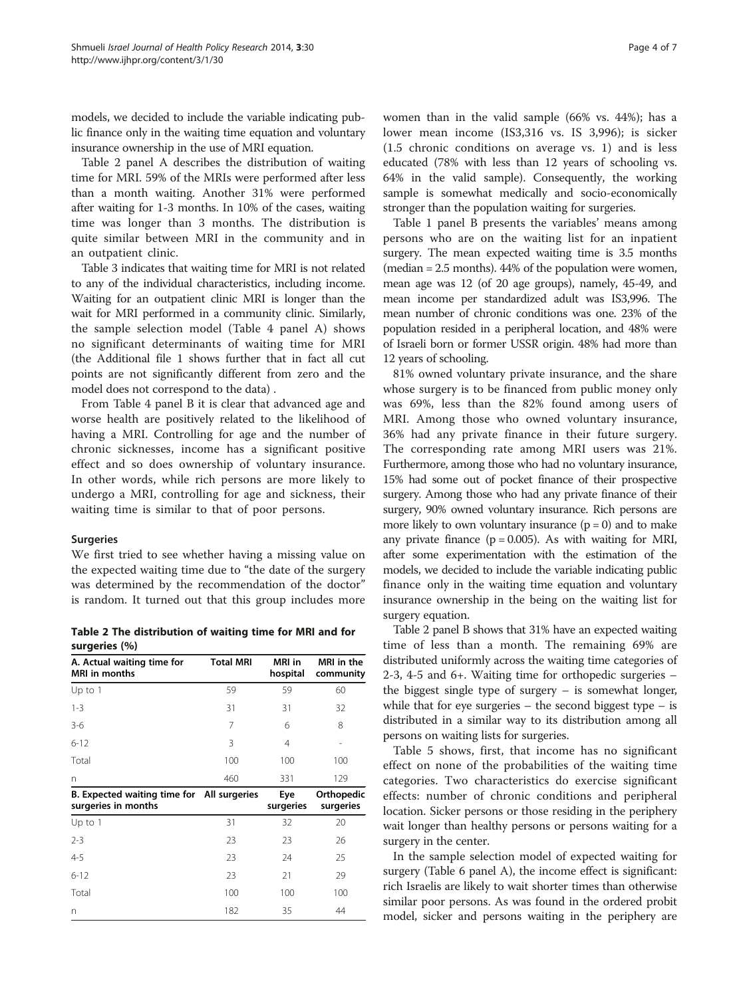models, we decided to include the variable indicating public finance only in the waiting time equation and voluntary insurance ownership in the use of MRI equation.

Table 2 panel A describes the distribution of waiting time for MRI. 59% of the MRIs were performed after less than a month waiting. Another 31% were performed after waiting for 1-3 months. In 10% of the cases, waiting time was longer than 3 months. The distribution is quite similar between MRI in the community and in an outpatient clinic.

Table [3](#page-4-0) indicates that waiting time for MRI is not related to any of the individual characteristics, including income. Waiting for an outpatient clinic MRI is longer than the wait for MRI performed in a community clinic. Similarly, the sample selection model (Table [4](#page-4-0) panel A) shows no significant determinants of waiting time for MRI (the Additional file [1](#page-6-0) shows further that in fact all cut points are not significantly different from zero and the model does not correspond to the data) .

From Table [4](#page-4-0) panel B it is clear that advanced age and worse health are positively related to the likelihood of having a MRI. Controlling for age and the number of chronic sicknesses, income has a significant positive effect and so does ownership of voluntary insurance. In other words, while rich persons are more likely to undergo a MRI, controlling for age and sickness, their waiting time is similar to that of poor persons.

#### **Surgeries**

We first tried to see whether having a missing value on the expected waiting time due to "the date of the surgery was determined by the recommendation of the doctor" is random. It turned out that this group includes more

Table 2 The distribution of waiting time for MRI and for surgeries (%)

| A. Actual waiting time for<br>MRI in months                       | <b>Total MRI</b> | MRI in           | MRI in the              |
|-------------------------------------------------------------------|------------------|------------------|-------------------------|
|                                                                   |                  | hospital         | community               |
| Up to 1                                                           | 59               | 59               | 60                      |
| $1 - 3$                                                           | 31               | 31               | 32                      |
| $3-6$                                                             | 7                | 6                | 8                       |
| $6 - 12$                                                          | 3                | 4                |                         |
| Total                                                             | 100              | 100              | 100                     |
| n                                                                 | 460              | 331              | 129                     |
| B. Expected waiting time for All surgeries<br>surgeries in months |                  | Eye<br>surgeries | Orthopedic<br>surgeries |
| Up to 1                                                           | 31               | 32               | 20                      |
| $2 - 3$                                                           | 23               | 23               | 26                      |
| $4 - 5$                                                           | 23               | 24               | 25                      |
| $6 - 12$                                                          | 23               | 21               | 29                      |
| Total                                                             | 100              | 100              | 100                     |
| n                                                                 | 182              | 35               | 44                      |

women than in the valid sample (66% vs. 44%); has a lower mean income (IS3,316 vs. IS 3,996); is sicker (1.5 chronic conditions on average vs. 1) and is less educated (78% with less than 12 years of schooling vs. 64% in the valid sample). Consequently, the working sample is somewhat medically and socio-economically stronger than the population waiting for surgeries.

Table [1](#page-2-0) panel B presents the variables' means among persons who are on the waiting list for an inpatient surgery. The mean expected waiting time is 3.5 months (median = 2.5 months). 44% of the population were women, mean age was 12 (of 20 age groups), namely, 45-49, and mean income per standardized adult was IS3,996. The mean number of chronic conditions was one. 23% of the population resided in a peripheral location, and 48% were of Israeli born or former USSR origin. 48% had more than 12 years of schooling.

81% owned voluntary private insurance, and the share whose surgery is to be financed from public money only was 69%, less than the 82% found among users of MRI. Among those who owned voluntary insurance, 36% had any private finance in their future surgery. The corresponding rate among MRI users was 21%. Furthermore, among those who had no voluntary insurance, 15% had some out of pocket finance of their prospective surgery. Among those who had any private finance of their surgery, 90% owned voluntary insurance. Rich persons are more likely to own voluntary insurance  $(p = 0)$  and to make any private finance ( $p = 0.005$ ). As with waiting for MRI, after some experimentation with the estimation of the models, we decided to include the variable indicating public finance only in the waiting time equation and voluntary insurance ownership in the being on the waiting list for surgery equation.

Table 2 panel B shows that 31% have an expected waiting time of less than a month. The remaining 69% are distributed uniformly across the waiting time categories of 2-3, 4-5 and 6+. Waiting time for orthopedic surgeries – the biggest single type of surgery – is somewhat longer, while that for eye surgeries – the second biggest type – is distributed in a similar way to its distribution among all persons on waiting lists for surgeries.

Table [5](#page-5-0) shows, first, that income has no significant effect on none of the probabilities of the waiting time categories. Two characteristics do exercise significant effects: number of chronic conditions and peripheral location. Sicker persons or those residing in the periphery wait longer than healthy persons or persons waiting for a surgery in the center.

In the sample selection model of expected waiting for surgery (Table [6](#page-5-0) panel A), the income effect is significant: rich Israelis are likely to wait shorter times than otherwise similar poor persons. As was found in the ordered probit model, sicker and persons waiting in the periphery are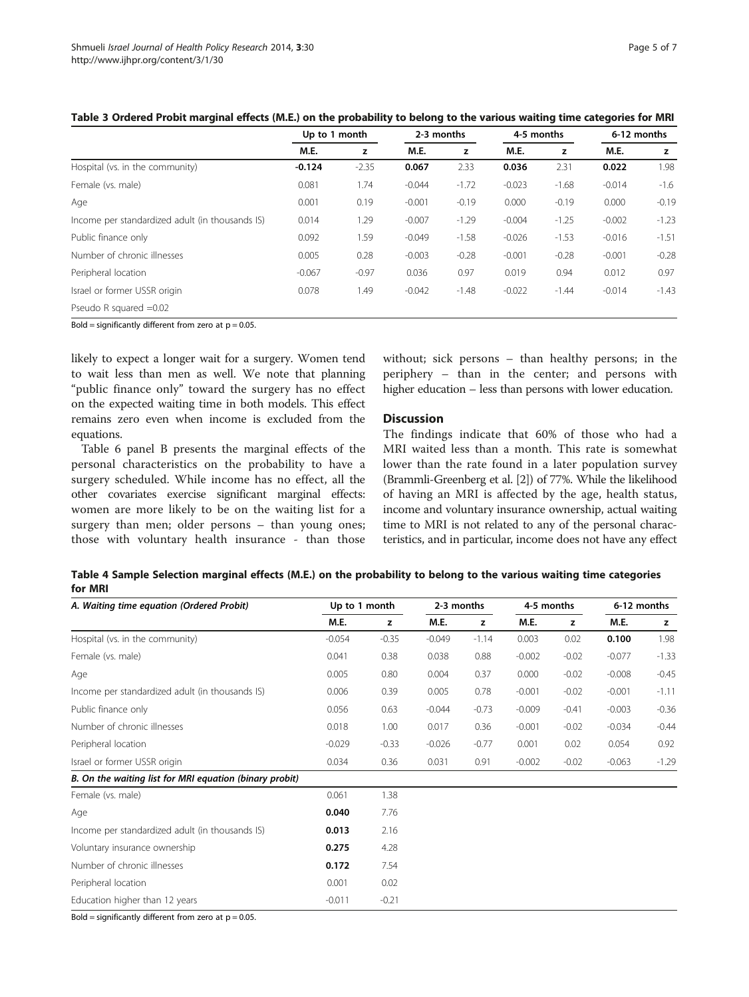<span id="page-4-0"></span>

| Table 3 Ordered Probit marginal effects (M.E.) on the probability to belong to the various waiting time categories for MRI |  |  |
|----------------------------------------------------------------------------------------------------------------------------|--|--|
|----------------------------------------------------------------------------------------------------------------------------|--|--|

|                                                 | Up to 1 month |         | 2-3 months |         | 4-5 months |         | 6-12 months |         |
|-------------------------------------------------|---------------|---------|------------|---------|------------|---------|-------------|---------|
|                                                 | M.E.          | z       | M.E.       | z       | M.E.       | z       | M.E.        | z       |
| Hospital (vs. in the community)                 | $-0.124$      | $-2.35$ | 0.067      | 2.33    | 0.036      | 2.31    | 0.022       | 1.98    |
| Female (vs. male)                               | 0.081         | 1.74    | $-0.044$   | $-1.72$ | $-0.023$   | $-1.68$ | $-0.014$    | $-1.6$  |
| Age                                             | 0.001         | 0.19    | $-0.001$   | $-0.19$ | 0.000      | $-0.19$ | 0.000       | $-0.19$ |
| Income per standardized adult (in thousands IS) | 0.014         | 1.29    | $-0.007$   | $-1.29$ | $-0.004$   | $-1.25$ | $-0.002$    | $-1.23$ |
| Public finance only                             | 0.092         | 1.59    | $-0.049$   | $-1.58$ | $-0.026$   | $-1.53$ | $-0.016$    | $-1.51$ |
| Number of chronic illnesses                     | 0.005         | 0.28    | $-0.003$   | $-0.28$ | $-0.001$   | $-0.28$ | $-0.001$    | $-0.28$ |
| Peripheral location                             | $-0.067$      | $-0.97$ | 0.036      | 0.97    | 0.019      | 0.94    | 0.012       | 0.97    |
| Israel or former USSR origin                    | 0.078         | 1.49    | $-0.042$   | $-1.48$ | $-0.022$   | $-1.44$ | $-0.014$    | $-1.43$ |
| Pseudo R squared $=0.02$                        |               |         |            |         |            |         |             |         |

Bold = significantly different from zero at  $p = 0.05$ .

likely to expect a longer wait for a surgery. Women tend to wait less than men as well. We note that planning "public finance only" toward the surgery has no effect on the expected waiting time in both models. This effect remains zero even when income is excluded from the equations.

Table [6](#page-5-0) panel B presents the marginal effects of the personal characteristics on the probability to have a surgery scheduled. While income has no effect, all the other covariates exercise significant marginal effects: women are more likely to be on the waiting list for a surgery than men; older persons – than young ones; those with voluntary health insurance - than those without; sick persons – than healthy persons; in the periphery – than in the center; and persons with higher education – less than persons with lower education.

# **Discussion**

The findings indicate that 60% of those who had a MRI waited less than a month. This rate is somewhat lower than the rate found in a later population survey (Brammli-Greenberg et al. [[2](#page-6-0)]) of 77%. While the likelihood of having an MRI is affected by the age, health status, income and voluntary insurance ownership, actual waiting time to MRI is not related to any of the personal characteristics, and in particular, income does not have any effect

Table 4 Sample Selection marginal effects (M.E.) on the probability to belong to the various waiting time categories for MRI

| A. Waiting time equation (Ordered Probit)               | Up to 1 month |         | 2-3 months |         | 4-5 months |         | 6-12 months |         |
|---------------------------------------------------------|---------------|---------|------------|---------|------------|---------|-------------|---------|
|                                                         | M.E.          | z       | M.E.       | z       | M.E.       | z       | M.E.        | z       |
| Hospital (vs. in the community)                         | $-0.054$      | $-0.35$ | $-0.049$   | $-1.14$ | 0.003      | 0.02    | 0.100       | 1.98    |
| Female (vs. male)                                       | 0.041         | 0.38    | 0.038      | 0.88    | $-0.002$   | $-0.02$ | $-0.077$    | $-1.33$ |
| Age                                                     | 0.005         | 0.80    | 0.004      | 0.37    | 0.000      | $-0.02$ | $-0.008$    | $-0.45$ |
| Income per standardized adult (in thousands IS)         | 0.006         | 0.39    | 0.005      | 0.78    | $-0.001$   | $-0.02$ | $-0.001$    | $-1.11$ |
| Public finance only                                     | 0.056         | 0.63    | $-0.044$   | $-0.73$ | $-0.009$   | $-0.41$ | $-0.003$    | $-0.36$ |
| Number of chronic illnesses                             | 0.018         | 1.00    | 0.017      | 0.36    | $-0.001$   | $-0.02$ | $-0.034$    | $-0.44$ |
| Peripheral location                                     | $-0.029$      | $-0.33$ | $-0.026$   | $-0.77$ | 0.001      | 0.02    | 0.054       | 0.92    |
| Israel or former USSR origin                            | 0.034         | 0.36    | 0.031      | 0.91    | $-0.002$   | $-0.02$ | $-0.063$    | $-1.29$ |
| B. On the waiting list for MRI equation (binary probit) |               |         |            |         |            |         |             |         |
| Female (vs. male)                                       | 0.061         | 1.38    |            |         |            |         |             |         |
| Age                                                     | 0.040         | 7.76    |            |         |            |         |             |         |
| Income per standardized adult (in thousands IS)         | 0.013         | 2.16    |            |         |            |         |             |         |
| Voluntary insurance ownership                           | 0.275         | 4.28    |            |         |            |         |             |         |
| Number of chronic illnesses                             | 0.172         | 7.54    |            |         |            |         |             |         |
| Peripheral location                                     | 0.001         | 0.02    |            |         |            |         |             |         |
| Education higher than 12 years                          | $-0.011$      | $-0.21$ |            |         |            |         |             |         |

Bold = significantly different from zero at  $p = 0.05$ .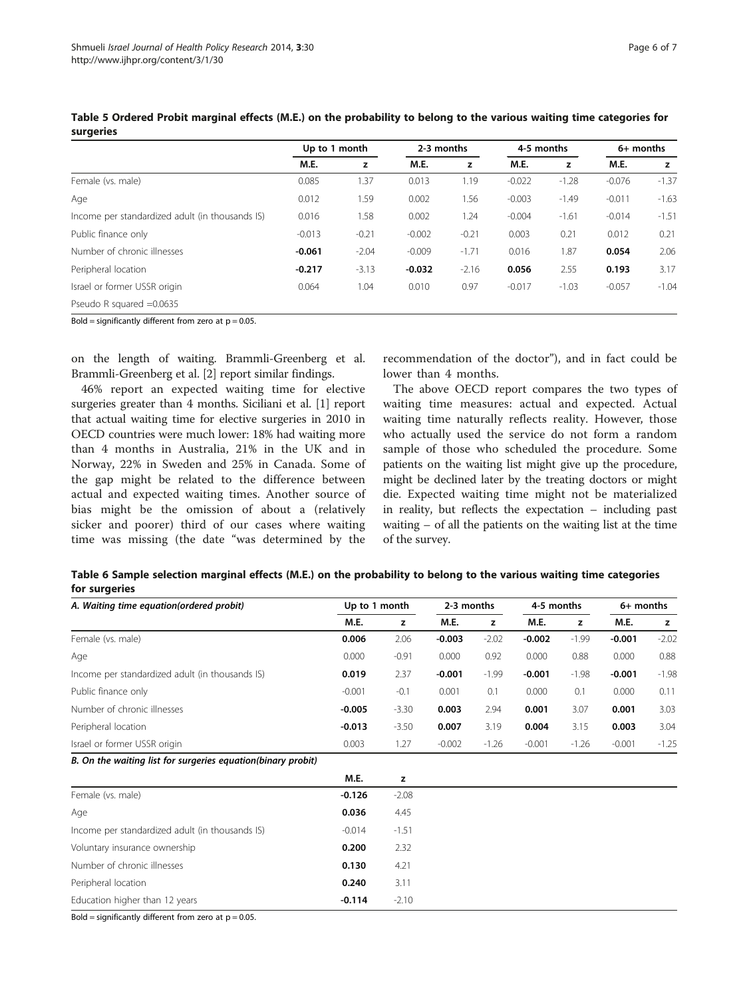|                                                 | Up to 1 month |         | 2-3 months |         | 4-5 months |            | $6+$ months |         |
|-------------------------------------------------|---------------|---------|------------|---------|------------|------------|-------------|---------|
|                                                 | M.E.          | z       | M.E.       | z       | M.E.       | z          | M.E.        | z       |
| Female (vs. male)                               | 0.085         | 1.37    | 0.013      | 1.19    | $-0.022$   | $-1.28$    | $-0.076$    | $-1.37$ |
| Age                                             | 0.012         | 1.59    | 0.002      | 1.56    | $-0.003$   | $-1.49$    | $-0.011$    | $-1.63$ |
| Income per standardized adult (in thousands IS) | 0.016         | 1.58    | 0.002      | 1.24    | $-0.004$   | $-1.61$    | $-0.014$    | $-1.51$ |
| Public finance only                             | $-0.013$      | $-0.21$ | $-0.002$   | $-0.21$ | 0.003      | 0.21       | 0.012       | 0.21    |
| Number of chronic illnesses                     | $-0.061$      | $-2.04$ | $-0.009$   | $-1.71$ | 0.016      | <b>.87</b> | 0.054       | 2.06    |
| Peripheral location                             | $-0.217$      | $-3.13$ | $-0.032$   | $-2.16$ | 0.056      | 2.55       | 0.193       | 3.17    |
| Israel or former USSR origin                    | 0.064         | 1.04    | 0.010      | 0.97    | $-0.017$   | $-1.03$    | $-0.057$    | $-1.04$ |
| Pseudo R squared = 0.0635                       |               |         |            |         |            |            |             |         |

<span id="page-5-0"></span>Table 5 Ordered Probit marginal effects (M.E.) on the probability to belong to the various waiting time categories for surgeries

Bold = significantly different from zero at  $p = 0.05$ .

on the length of waiting. Brammli-Greenberg et al. Brammli-Greenberg et al. [\[2](#page-6-0)] report similar findings.

46% report an expected waiting time for elective surgeries greater than 4 months. Siciliani et al. [\[1](#page-6-0)] report that actual waiting time for elective surgeries in 2010 in OECD countries were much lower: 18% had waiting more than 4 months in Australia, 21% in the UK and in Norway, 22% in Sweden and 25% in Canada. Some of the gap might be related to the difference between actual and expected waiting times. Another source of bias might be the omission of about a (relatively sicker and poorer) third of our cases where waiting time was missing (the date "was determined by the

recommendation of the doctor"), and in fact could be lower than 4 months.

The above OECD report compares the two types of waiting time measures: actual and expected. Actual waiting time naturally reflects reality. However, those who actually used the service do not form a random sample of those who scheduled the procedure. Some patients on the waiting list might give up the procedure, might be declined later by the treating doctors or might die. Expected waiting time might not be materialized in reality, but reflects the expectation – including past waiting – of all the patients on the waiting list at the time of the survey.

| Table 6 Sample selection marginal effects (M.E.) on the probability to belong to the various waiting time categories |  |  |  |
|----------------------------------------------------------------------------------------------------------------------|--|--|--|
| for surgeries                                                                                                        |  |  |  |

| A. Waiting time equation(ordered probit)                     | Up to 1 month |         |          | 2-3 months |          | 4-5 months |          | 6+ months |  |
|--------------------------------------------------------------|---------------|---------|----------|------------|----------|------------|----------|-----------|--|
|                                                              | M.E.          | z       | M.E.     | z          | M.E.     | z          | M.E.     | z         |  |
| Female (vs. male)                                            | 0.006         | 2.06    | $-0.003$ | $-2.02$    | $-0.002$ | $-1.99$    | $-0.001$ | $-2.02$   |  |
| Age                                                          | 0.000         | $-0.91$ | 0.000    | 0.92       | 0.000    | 0.88       | 0.000    | 0.88      |  |
| Income per standardized adult (in thousands IS)              | 0.019         | 2.37    | $-0.001$ | $-1.99$    | $-0.001$ | $-1.98$    | $-0.001$ | $-1.98$   |  |
| Public finance only                                          | $-0.001$      | $-0.1$  | 0.001    | 0.1        | 0.000    | 0.1        | 0.000    | 0.11      |  |
| Number of chronic illnesses                                  | $-0.005$      | $-3.30$ | 0.003    | 2.94       | 0.001    | 3.07       | 0.001    | 3.03      |  |
| Peripheral location                                          | $-0.013$      | $-3.50$ | 0.007    | 3.19       | 0.004    | 3.15       | 0.003    | 3.04      |  |
| Israel or former USSR origin                                 | 0.003         | 1.27    | $-0.002$ | $-1.26$    | $-0.001$ | $-1.26$    | $-0.001$ | $-1.25$   |  |
| B. On the waiting list for surgeries equation(binary probit) |               |         |          |            |          |            |          |           |  |
|                                                              | M.E.          | z       |          |            |          |            |          |           |  |
| Female (vs. male)                                            | $-0.126$      | $-2.08$ |          |            |          |            |          |           |  |
| Age                                                          | 0.036         | 4.45    |          |            |          |            |          |           |  |
| Income per standardized adult (in thousands IS)              | $-0.014$      | $-1.51$ |          |            |          |            |          |           |  |
| Voluntary insurance ownership                                | 0.200         | 2.32    |          |            |          |            |          |           |  |
| Number of chronic illnesses                                  | 0.130         | 4.21    |          |            |          |            |          |           |  |
| Peripheral location                                          | 0.240         | 3.11    |          |            |          |            |          |           |  |
| Education higher than 12 years                               | $-0.114$      | $-2.10$ |          |            |          |            |          |           |  |

Bold = significantly different from zero at  $p = 0.05$ .